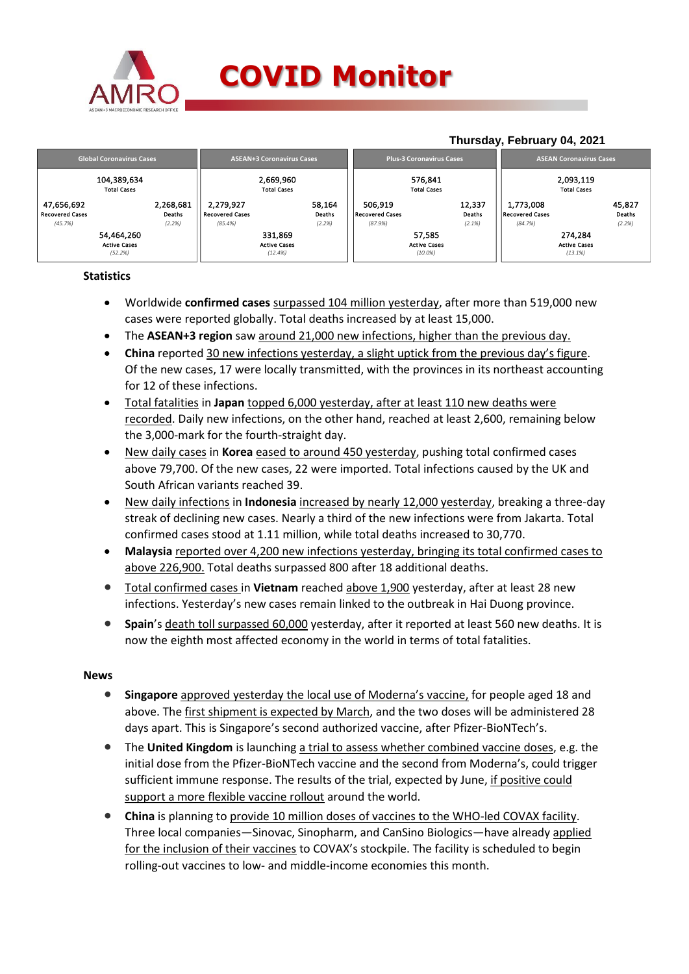

**Thursday, February 04, 2021**

|                                      |                                   |                     |                                     |                                 | $1.11$ , $0.44$ , $1.70$ , $0.41$ , $0.41$ , $0.41$ , $0.41$ |                                   |                               |                  |                                     |                                 |                  |  |
|--------------------------------------|-----------------------------------|---------------------|-------------------------------------|---------------------------------|--------------------------------------------------------------|-----------------------------------|-------------------------------|------------------|-------------------------------------|---------------------------------|------------------|--|
|                                      | <b>Global Coronavirus Cases</b>   |                     | <b>ASEAN+3 Coronavirus Cases</b>    |                                 |                                                              | <b>Plus-3 Coronavirus Cases</b>   |                               |                  | <b>ASEAN Coronavirus Cases</b>      |                                 |                  |  |
|                                      | 104,389,634<br><b>Total Cases</b> |                     |                                     | 2,669,960<br><b>Total Cases</b> |                                                              |                                   | 576,841<br><b>Total Cases</b> |                  |                                     | 2,093,119<br><b>Total Cases</b> |                  |  |
| 47,656,692<br><b>Recovered Cases</b> |                                   | 2,268,681<br>Deaths | 2,279,927<br><b>Recovered Cases</b> |                                 | 58,164<br>Deaths                                             | 506.919<br><b>Recovered Cases</b> |                               | 12.337<br>Deaths | 1.773.008<br><b>Recovered Cases</b> |                                 | 45,827<br>Deaths |  |
| (45.7%)                              |                                   | (2.2%)              | (85.4%)                             |                                 | (2.2%)                                                       | (87.9%)                           |                               | (2.1%)           | (84.7%)                             |                                 | (2.2%)           |  |
|                                      | 54,464,260<br><b>Active Cases</b> |                     |                                     | 331.869<br><b>Active Cases</b>  |                                                              |                                   | 57.585<br><b>Active Cases</b> |                  |                                     | 274.284<br><b>Active Cases</b>  |                  |  |
|                                      | (52.2%)                           |                     |                                     | (12.4%)                         |                                                              |                                   | $(10.0\%)$                    |                  |                                     | (13.1%)                         |                  |  |

## **Statistics**

- Worldwide **confirmed cases** surpassed 104 million yesterday, after more than 519,000 new cases were reported globally. Total deaths increased by at least 15,000.
- The **ASEAN+3 region** saw around 21,000 new infections, higher than the previous day.
- **China** reported 30 new infections yesterday, a slight uptick from the previous day's figure. Of the new cases, 17 were locally transmitted, with the provinces in its northeast accounting for 12 of these infections.
- Total fatalities in **Japan** topped 6,000 yesterday, after at least 110 new deaths were recorded. Daily new infections, on the other hand, reached at least 2,600, remaining below the 3,000-mark for the fourth-straight day.
- New daily cases in **Korea** eased to around 450 yesterday, pushing total confirmed cases above 79,700. Of the new cases, 22 were imported. Total infections caused by the UK and South African variants reached 39.
- New daily infections in **Indonesia** increased by nearly 12,000 yesterday, breaking a three-day streak of declining new cases. Nearly a third of the new infections were from Jakarta. Total confirmed cases stood at 1.11 million, while total deaths increased to 30,770.
- **Malaysia** reported over 4,200 new infections yesterday, bringing its total confirmed cases to above 226,900. Total deaths surpassed 800 after 18 additional deaths.
- Total confirmed cases in **Vietnam** reached above 1,900 yesterday, after at least 28 new infections. Yesterday's new cases remain linked to the outbreak in Hai Duong province.
- **Spain**'s death toll surpassed 60,000 yesterday, after it reported at least 560 new deaths. It is now the eighth most affected economy in the world in terms of total fatalities.

### **News**

- **Singapore** approved yesterday the local use of Moderna's vaccine, for people aged 18 and above. The first shipment is expected by March, and the two doses will be administered 28 days apart. This is Singapore's second authorized vaccine, after Pfizer-BioNTech's.
- The **United Kingdom** is launching a trial to assess whether combined vaccine doses, e.g. the initial dose from the Pfizer-BioNTech vaccine and the second from Moderna's, could trigger sufficient immune response. The results of the trial, expected by June, if positive could support a more flexible vaccine rollout around the world.
- **China** is planning to provide 10 million doses of vaccines to the WHO-led COVAX facility. Three local companies—Sinovac, Sinopharm, and CanSino Biologics—have already applied for the inclusion of their vaccines to COVAX's stockpile. The facility is scheduled to begin rolling-out vaccines to low- and middle-income economies this month.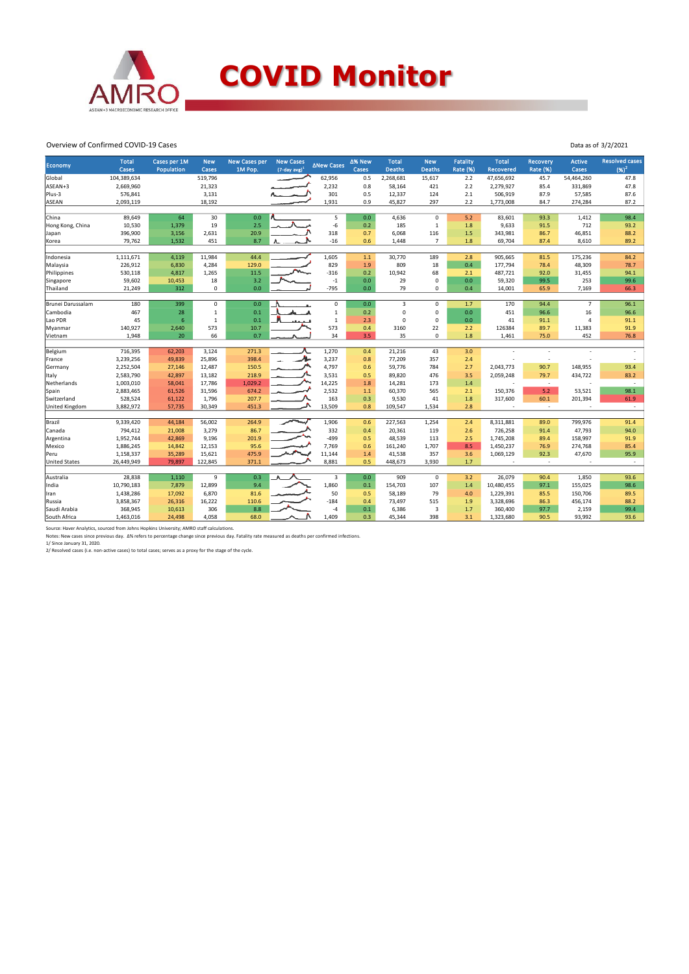

# **COVID Monitor**

Data as of 3/2/2021

#### Overview of Confirmed COVID-19 Cases

|                      | <b>Total</b> | Cases per 1M | <b>New</b>   | <b>New Cases per</b> | <b>New Cases</b>            |                   | ∆% New | <b>Total</b>  | <b>New</b>     | <b>Fatality</b> | <b>Total</b>     | Recovery        | <b>Active</b>  | <b>Resolved cases</b> |
|----------------------|--------------|--------------|--------------|----------------------|-----------------------------|-------------------|--------|---------------|----------------|-----------------|------------------|-----------------|----------------|-----------------------|
| Economy              | Cases        | Population   | Cases        | 1M Pop.              | $(7$ -day avg) <sup>1</sup> | <b>ANew Cases</b> | Cases  | <b>Deaths</b> | <b>Deaths</b>  | <b>Rate (%)</b> | <b>Recovered</b> | <b>Rate (%)</b> | Cases          | $(96)^2$              |
| Global               | 104,389,634  |              | 519,796      |                      |                             | 62,956            | 0.5    | 2,268,681     | 15,617         | 2.2             | 47,656,692       | 45.7            | 54,464,260     | 47.8                  |
| ASEAN+3              | 2,669,960    |              | 21,323       |                      |                             | 2,232             | 0.8    | 58,164        | 421            | 2.2             | 2,279,927        | 85.4            | 331,869        | 47.8                  |
| Plus-3               | 576,841      |              | 3,131        |                      |                             | 301               | 0.5    | 12,337        | 124            | 2.1             | 506,919          | 87.9            | 57,585         | 87.6                  |
| <b>ASEAN</b>         | 2,093,119    |              | 18,192       |                      |                             | 1,931             | 0.9    | 45,827        | 297            | 2.2             | 1,773,008        | 84.7            | 274,284        | 87.2                  |
|                      |              |              |              |                      |                             |                   |        |               |                |                 |                  |                 |                |                       |
| China                | 89,649       | 64           | 30           | 0.0                  |                             | 5                 | 0.0    | 4,636         | $\mathbf 0$    | 5.2             | 83,601           | 93.3            | 1,412          | 98.4                  |
| Hong Kong, China     | 10,530       | 1,379        | 19           | 2.5                  |                             | $-6$              | 0.2    | 185           | 1              | 1.8             | 9,633            | 91.5            | 712            | 93.2                  |
| Japan                | 396,900      | 3,156        | 2,631        | 20.9                 |                             | 318               | 0.7    | 6,068         | 116            | 1.5             | 343,981          | 86.7            | 46,851         | 88.2                  |
| Korea                | 79,762       | 1,532        | 451          | 8.7                  |                             | $-16$             | 0.6    | 1,448         | $\overline{7}$ | 1.8             | 69,704           | 87.4            | 8,610          | 89.2                  |
|                      |              |              |              |                      |                             |                   |        |               |                |                 |                  |                 |                |                       |
| Indonesia            | 1,111,671    | 4,119        | 11,984       | 44.4                 |                             | 1,605             | $1.1$  | 30,770        | 189            | 2.8             | 905,665          | 81.5            | 175,236        | 84.2                  |
| Malaysia             | 226,912      | 6,830        | 4,284        | 129.0                |                             | 829               | 1.9    | 809           | 18             | 0.4             | 177,794          | 78.4            | 48,309         | 78.7                  |
| Philippines          | 530,118      | 4,817        | 1,265        | 11.5                 |                             | $-316$            | 0.2    | 10,942        | 68             | 2.1             | 487,721          | 92.0            | 31,455         | 94.1                  |
| Singapore            | 59,602       | 10,453       | 18           | 3.2                  |                             | $-1$              | 0.0    | 29            | 0              | 0.0             | 59,320           | 99.5            | 253            | 99.6                  |
| Thailand             | 21,249       | 312          | $\mathbf 0$  | 0.0                  |                             | $-795$            | 0.0    | 79            | 0              | 0.4             | 14,001           | 65.9            | 7,169          | 66.3                  |
| Brunei Darussalam    | 180          | 399          | $\mathbf 0$  | 0.0                  |                             | 0                 | 0.0    | 3             | 0              | 1.7             | 170              | 94.4            | $\overline{7}$ | 96.1                  |
| Cambodia             | 467          | 28           | $\mathbf{1}$ | 0.1                  |                             | $\,1\,$           | 0.2    | $\mathbf 0$   | $\mathbf 0$    | 0.0             | 451              | 96.6            | 16             | 96.6                  |
| Lao PDR              | 45           | 6            | $\mathbf 1$  | 0.1                  |                             | $\,1\,$           | 2.3    | $\Omega$      | $\mathbf 0$    | 0.0             | 41               | 91.1            | 4              | 91.1                  |
| Myanmar              | 140,927      | 2,640        | 573          | 10.7                 |                             | 573               | 0.4    | 3160          | 22             | 2.2             | 126384           | 89.7            | 11,383         | 91.9                  |
| Vietnam              | 1,948        | 20           | 66           | 0.7                  |                             | 34                | 3.5    | 35            | 0              | 1.8             | 1,461            | 75.0            | 452            | 76.8                  |
|                      |              |              |              |                      |                             |                   |        |               |                |                 |                  |                 |                |                       |
| Belgium              | 716,395      | 62,203       | 3,124        | 271.3                |                             | 1,270             | 0.4    | 21,216        | 43             | 3.0             |                  | ×,              |                |                       |
| France               | 3,239,256    | 49,839       | 25,896       | 398.4                | л.                          | 3,237             | 0.8    | 77,209        | 357            | 2.4             |                  | ٠               |                |                       |
| Germany              | 2,252,504    | 27,146       | 12,487       | 150.5                |                             | 4,797             | 0.6    | 59,776        | 784            | 2.7             | 2,043,773        | 90.7            | 148,955        | 93.4                  |
| Italy                | 2,583,790    | 42,897       | 13,182       | 218.9                |                             | 3,531             | 0.5    | 89,820        | 476            | 3.5             | 2,059,248        | 79.7            | 434,722        | 83.2                  |
| Netherlands          | 1,003,010    | 58,041       | 17,786       | 1.029.2              |                             | 14,225            | 1.8    | 14,281        | 173            | 1.4             | ÷,               | $\sim$          |                | $\sim$                |
| Spain                | 2,883,465    | 61,526       | 31,596       | 674.2                |                             | 2,532             | 1.1    | 60,370        | 565            | 2.1             | 150,376          | 5.2             | 53,521         | 98.1                  |
| Switzerland          | 528,524      | 61,122       | 1,796        | 207.7                |                             | 163               | 0.3    | 9,530         | 41             | 1.8             | 317,600          | 60.1            | 201,394        | 61.9                  |
| United Kingdom       | 3,882,972    | 57,735       | 30,349       | 451.3                |                             | 13,509            | 0.8    | 109,547       | 1,534          | 2.8             |                  | $\sim$          |                | $\sim$                |
|                      |              |              |              |                      |                             |                   |        |               |                |                 |                  |                 |                |                       |
| Brazil               | 9,339,420    | 44,184       | 56,002       | 264.9                |                             | 1,906             | 0.6    | 227,563       | 1,254          | 2.4             | 8,311,881        | 89.0            | 799,976        | 91.4                  |
| Canada               | 794,412      | 21,008       | 3,279        | 86.7                 |                             | 332               | 0.4    | 20,361        | 119            | 2.6             | 726,258          | 91.4            | 47,793         | 94.0                  |
| Argentina            | 1,952,744    | 42,869       | 9,196        | 201.9                |                             | $-499$            | 0.5    | 48,539        | 113            | 2.5             | 1,745,208        | 89.4            | 158,997        | 91.9                  |
| Mexico               | 1,886,245    | 14,842       | 12,153       | 95.6                 |                             | 7,769             | 0.6    | 161,240       | 1,707          | 8.5             | 1,450,237        | 76.9            | 274,768        | 85.4                  |
| Peru                 | 1,158,337    | 35,289       | 15,621       | 475.9                |                             | 11,144            | 1.4    | 41,538        | 357            | 3.6             | 1,069,129        | 92.3            | 47,670         | 95.9                  |
| <b>United States</b> | 26,449,949   | 79,897       | 122,845      | 371.1                |                             | 8,881             | 0.5    | 448,673       | 3,930          | 1.7             | $\sim$           | $\sim$          |                | $\sim$                |
|                      |              |              |              |                      |                             |                   |        |               |                |                 |                  |                 |                |                       |
| Australia            | 28,838       | 1.110        | 9            | 0.3                  |                             | 3                 | 0.0    | 909           | $\mathbf 0$    | 3.2             | 26,079           | 90.4            | 1,850          | 93.6                  |
| India                | 10,790,183   | 7,879        | 12,899       | 9.4                  |                             | 1,860             | 0.1    | 154,703       | 107            | 1.4             | 10,480,455       | 97.1            | 155,025        | 98.6                  |
| Iran                 | 1,438,286    | 17,092       | 6,870        | 81.6                 |                             | 50                | 0.5    | 58,189        | 79             | 4.0             | 1,229,391        | 85.5            | 150,706        | 89.5                  |
| Russia               | 3,858,367    | 26,316       | 16,222       | 110.6                |                             | $-184$            | 0.4    | 73,497        | 515            | 1.9             | 3,328,696        | 86.3            | 456,174        | 88.2                  |
| Saudi Arabia         | 368,945      | 10,613       | 306          | 8.8                  |                             | $-4$              | 0.1    | 6,386         | $\overline{3}$ | 1.7             | 360,400          | 97.7            | 2,159          | 99.4                  |
| South Africa         | 1,463,016    | 24,498       | 4,058        | 68.0                 |                             | 1,409             | 0.3    | 45,344        | 398            | 3.1             | 1,323,680        | 90.5            | 93,992         | 93.6                  |

Source: Haver Analytics, sourced from Johns Hopkins University; AMRO staff calculations.<br>Notes: New cases since previous day. ∆% refers to percentage change since previous day. Fatality rate measured as deaths per confirm